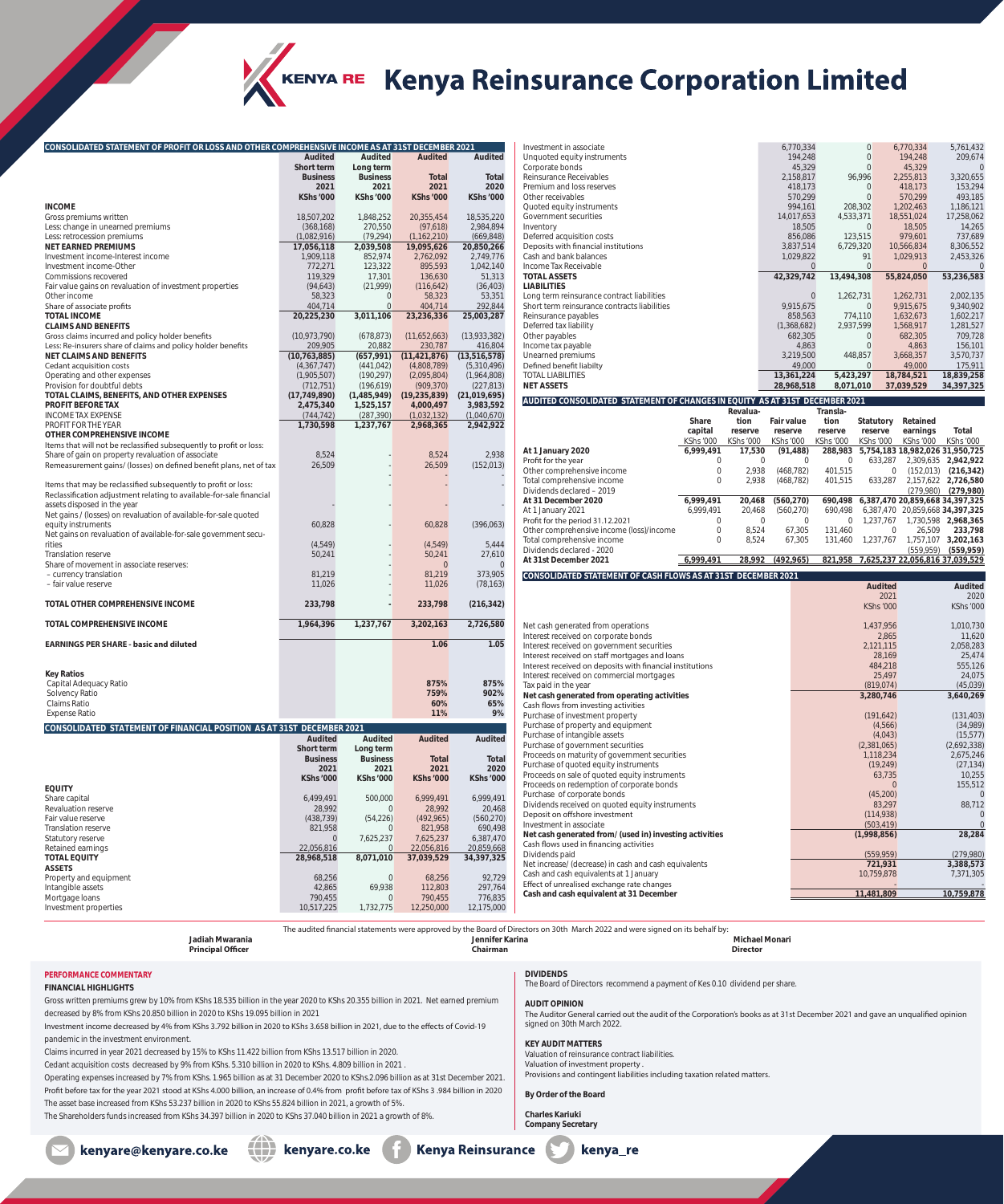

## KENYA RE Kenya Reinsurance Corporation Limited

| CONSOLIDATED STATEMENT OF PROFIT OR LOSS AND OTHER COMPREHENSIVE INCOME AS AT 31ST DECEMBER 2021 |                       |                             |                  |                  |
|--------------------------------------------------------------------------------------------------|-----------------------|-----------------------------|------------------|------------------|
|                                                                                                  | Audited               | Audited                     | <b>Audited</b>   | <b>Audited</b>   |
|                                                                                                  | Short term            | Long term                   |                  |                  |
|                                                                                                  | <b>Business</b>       | <b>Business</b>             | <b>Total</b>     | <b>Total</b>     |
|                                                                                                  | 2021                  | 2021                        | 2021             | 2020             |
| <b>INCOME</b>                                                                                    | <b>KShs '000</b>      | <b>KShs '000</b>            | <b>KShs '000</b> | <b>KShs '000</b> |
| Gross premiums written                                                                           | 18,507,202            | 1,848,252                   | 20,355,454       | 18,535,220       |
| Less: change in unearned premiums                                                                | (368,168)             | 270,550                     | (97,618)         | 2,984,894        |
| Less: retrocession premiums                                                                      | (1,082,916)           | (79, 294)                   | (1, 162, 210)    | (669, 848)       |
| <b>NET EARNED PREMIUMS</b>                                                                       | 17,056,118            | 2,039,508                   | 19,095,626       | 20,850,266       |
| Investment income-Interest income                                                                | 1,909,118             | 852,974                     | 2,762,092        | 2,749,776        |
| Investment income-Other                                                                          | 772,271               | 123,322                     | 895,593          | 1,042,140        |
| Commissions recovered                                                                            | 119,329               | 17,301                      | 136,630          | 51,313           |
| Fair value gains on revaluation of investment properties                                         | (94, 643)             | (21, 999)                   | (116, 642)       | (36, 403)        |
| Other income                                                                                     | 58,323                | $\overline{0}$              | 58,323           | 53,351           |
| Share of associate profits                                                                       | 404,714               | $\mathbf{0}$                | 404,714          | 292,844          |
| <b>TOTAL INCOME</b>                                                                              | 20,225,230            | 3,011,106                   | 23,236,336       | 25,003,287       |
| <b>CLAIMS AND BENEFITS</b>                                                                       |                       |                             |                  |                  |
| Gross claims incurred and policy holder benefits                                                 | (10,973,790)          | (678, 873)                  | (11,652,663)     | (13,933,382)     |
| Less: Re-insurers share of claims and policy holder benefits                                     | 209,905               | 20,882                      | 230,787          | 416,804          |
| <b>NET CLAIMS AND BENEFITS</b>                                                                   | (10, 763, 885)        | (657, 991)                  | (11, 421, 876)   | (13,516,578)     |
| Cedant acquisition costs                                                                         | (4,367,747)           | (441, 042)                  | (4,808,789)      | (5,310,496)      |
| Operating and other expenses                                                                     | (1,905,507)           | (190, 297)                  | (2,095,804)      | (1,964,808)      |
| Provision for doubtful debts                                                                     | (712, 751)            | (196, 619)                  | (909, 370)       | (227, 813)       |
| TOTAL CLAIMS, BENEFITS, AND OTHER EXPENSES                                                       | (17, 749, 890)        | (1,485,949)                 | (19, 235, 839)   | (21,019,695)     |
| <b>PROFIT BEFORE TAX</b>                                                                         | 2,475,340             | 1,525,157                   | 4,000,497        | 3,983,592        |
| <b>INCOME TAX EXPENSE</b>                                                                        | (744, 742)            | (287, 390)                  | (1,032,132)      | (1,040,670)      |
| PROFIT FOR THE YEAR                                                                              | 1,730,598             | 1,237,767                   | 2,968,365        | 2,942,922        |
| <b>OTHER COMPREHENSIVE INCOME</b>                                                                |                       |                             |                  |                  |
| Items that will not be reclassified subsequently to profit or loss:                              |                       |                             |                  |                  |
| Share of gain on property revaluation of associate                                               | 8,524                 |                             | 8,524            | 2,938            |
| Remeasurement gains/ (losses) on defined benefit plans, net of tax                               | 26,509                |                             | 26,509           | (152, 013)       |
|                                                                                                  |                       |                             |                  |                  |
| Items that may be reclassified subsequently to profit or loss:                                   |                       |                             |                  |                  |
| Reclassification adjustment relating to available-for-sale financial                             |                       |                             |                  |                  |
| assets disposed in the year                                                                      |                       |                             |                  |                  |
| Net gains / (losses) on revaluation of available-for-sale quoted                                 |                       |                             |                  |                  |
| equity instruments                                                                               | 60,828                |                             | 60,828           | (396,063)        |
| Net gains on revaluation of available-for-sale government secu-                                  |                       |                             |                  |                  |
| rities                                                                                           | (4, 549)              |                             | (4, 549)         | 5,444            |
| <b>Translation reserve</b>                                                                       | 50,241                |                             | 50,241           | 27,610           |
| Share of movement in associate reserves:                                                         |                       |                             | $\mathbf 0$      |                  |
| - currency translation                                                                           | 81,219                |                             | 81,219           | 373,905          |
| - fair value reserve                                                                             | 11,026                |                             | 11,026           | (78, 163)        |
| <b>TOTAL OTHER COMPREHENSIVE INCOME</b>                                                          |                       |                             |                  |                  |
|                                                                                                  | 233,798               |                             | 233,798          | (216, 342)       |
| TOTAL COMPREHENSIVE INCOME                                                                       | 1,964,396             | 1,237,767                   | 3,202,163        | 2,726,580        |
| <b>EARNINGS PER SHARE - basic and diluted</b>                                                    |                       |                             | 1.06             | 1.05             |
|                                                                                                  |                       |                             |                  |                  |
| <b>Key Ratios</b>                                                                                |                       |                             |                  |                  |
| Capital Adequacy Ratio                                                                           |                       |                             | 875%             | 875%             |
| Solvency Ratio                                                                                   |                       |                             | 759%             | 902%             |
| Claims Ratio                                                                                     |                       |                             | 60%              | 65%              |
| <b>Expense Ratio</b>                                                                             |                       |                             | 11%              | 9%               |
|                                                                                                  |                       |                             |                  |                  |
| CONSOLIDATED STATEMENT OF FINANCIAL POSITION AS AT 31ST DECEMBER 2021                            |                       |                             |                  |                  |
|                                                                                                  | Audited<br>Short term | <b>Audited</b><br>Long term | <b>Audited</b>   | <b>Audited</b>   |
|                                                                                                  | <b>Business</b>       | <b>Business</b>             | <b>Total</b>     | Total            |
|                                                                                                  | 2021                  | 2021                        | 2021             | 2020             |
|                                                                                                  | <b>KShs '000</b>      | <b>KShs '000</b>            | <b>KShs '000</b> | <b>KShs '000</b> |
| <b>EQUITY</b>                                                                                    |                       |                             |                  |                  |
| Share capital                                                                                    | 6,499,491             | 500.000                     | 6,999,491        | 6,999,491        |
| Revaluation reserve                                                                              | 28,992                | $\overline{0}$              | 28,992           | 20,468           |
| Fair value reserve                                                                               | (438, 739)            | (54, 226)                   | (492, 965)       | (560, 270)       |
| Translation reserve                                                                              | 821,958               | 0                           | 821,958          | 690,498          |
| Statutory reserve                                                                                | $\mathbf{0}$          | 7,625,237                   | 7,625,237        | 6,387,470        |
| Retained earnings                                                                                | 22,056,816            | 0                           | 22,056,816       | 20,859,668       |
| <b>TOTAL EQUITY</b>                                                                              | 28,968,518            | 8,071,010                   | 37,039,529       | 34,397,325       |
| <b>ASSETS</b>                                                                                    |                       |                             |                  |                  |
| Property and equipment                                                                           | 68,256                | $\mathbf{0}$                | 68,256           | 92,729           |
| Intangible assets                                                                                | 42,865                | 69,938                      | 112,803          | 297,764          |
| Mortgage loans                                                                                   | 790,455               | $\overline{0}$              | 790,455          | 776,835          |
| Investment properties                                                                            | 10,517,225            | 1,732,775                   | 12,250,000       | 12,175,000       |

| Investment in associate                                                                      |                      |                             |                             | 6,770,334             |                             | 0                           | 6,770,334                       | 5,761,432                         |
|----------------------------------------------------------------------------------------------|----------------------|-----------------------------|-----------------------------|-----------------------|-----------------------------|-----------------------------|---------------------------------|-----------------------------------|
| Unquoted equity instruments                                                                  |                      |                             |                             | 194,248               |                             | $\boldsymbol{0}$            | 194,248                         | 209,674                           |
| Corporate bonds                                                                              |                      |                             |                             | 45,329                |                             | $\mathbf 0$                 | 45,329                          | $\mathbf{0}$                      |
| Reinsurance Receivables                                                                      |                      |                             |                             | 2,158,817             |                             | 96,996                      | 2,255,813                       | 3,320,655                         |
| Premium and loss reserves                                                                    |                      |                             |                             | 418,173               |                             | $\mathbf{0}$                | 418,173                         | 153,294                           |
| Other receivables                                                                            |                      |                             |                             | 570,299               |                             | $\mathbf 0$                 | 570,299<br>1,202,463            | 493,185                           |
| Quoted equity instruments<br>Government securities                                           |                      |                             |                             | 994,161<br>14,017,653 | 4,533,371                   | 208,302                     | 18,551,024                      | 1,186,121<br>17,258,062           |
| Inventory                                                                                    |                      |                             |                             | 18,505                |                             | $\mathbf{0}$                | 18,505                          | 14,265                            |
| Deferred acquisition costs                                                                   |                      |                             |                             | 856,086               |                             | 123,515                     | 979,601                         | 737,689                           |
| Deposits with financial institutions                                                         |                      |                             |                             | 3,837,514             | 6,729,320                   |                             | 10,566,834                      | 8,306,552                         |
| Cash and bank balances                                                                       |                      |                             |                             | 1,029,822             |                             | 91                          | 1,029,913                       | 2,453,326                         |
| Income Tax Receivable                                                                        |                      |                             |                             | $\mathbf{0}$          |                             | $\mathbf{0}$                | $\overline{0}$                  | $\Omega$                          |
| <b>TOTAL ASSETS</b>                                                                          |                      |                             | 42,329,742                  |                       | 13,494,308                  |                             | 55,824,050                      | 53,236,583                        |
| <b>LIABILITIES</b>                                                                           |                      |                             |                             |                       |                             |                             |                                 |                                   |
| Long term reinsurance contract liabilities                                                   |                      |                             |                             | $\mathbf{0}$          | 1,262,731                   |                             | 1,262,731                       | 2,002,135                         |
| Short term reinsurance contracts liabilities                                                 |                      |                             |                             | 9,915,675<br>858,563  |                             | $\mathbf{0}$<br>774,110     | 9,915,675<br>1,632,673          | 9,340,902<br>1,602,217            |
| Reinsurance payables<br>Deferred tax liability                                               |                      |                             |                             | (1,368,682)           | 2,937,599                   |                             | 1,568,917                       | 1,281,527                         |
| Other payables                                                                               |                      |                             |                             | 682,305               |                             | 0                           | 682,305                         | 709,728                           |
| Income tax payable                                                                           |                      |                             |                             | 4,863                 |                             | $\boldsymbol{0}$            | 4,863                           | 156,101                           |
| Unearned premiums                                                                            |                      |                             |                             | 3,219,500             |                             | 448,857                     | 3,668,357                       | 3,570,737                         |
| Defined benefit liabilty                                                                     |                      |                             |                             | 49,000                |                             | 0                           | 49,000                          | 175,911                           |
| <b>TOTAL LIABILITIES</b>                                                                     |                      |                             | 13,361,224                  |                       | 5,423,297                   |                             | 18,784,521                      | 18,839,258                        |
| <b>NET ASSETS</b>                                                                            |                      |                             | 28,968,518                  |                       | 8,071,010                   |                             | 37,039,529                      | 34, 397, 325                      |
| AUDITED CONSOLIDATED STATEMENT OF CHANGES IN EQUITY AS AT 31ST DECEMBER 2021                 |                      |                             |                             |                       |                             |                             |                                 |                                   |
|                                                                                              |                      | Revalua-                    |                             |                       | Transla-                    |                             |                                 |                                   |
|                                                                                              | Share                | tion                        | <b>Fair value</b>           |                       | tion                        | Statutory                   | Retained                        |                                   |
|                                                                                              | capital<br>KShs '000 | reserve<br><b>KShs '000</b> | reserve<br><b>KShs '000</b> |                       | reserve<br><b>KShs '000</b> | reserve<br><b>KShs '000</b> | earnings<br><b>KShs '000</b>    | Total<br>KShs '000                |
| At 1 January 2020                                                                            | 6,999,491            | 17,530                      | (91, 488)                   |                       | 288,983                     |                             |                                 | 5,754,183 18,982,026 31,950,725   |
| Profit for the year                                                                          | 0                    | 0                           |                             | 0                     | 0                           | 633,287                     |                                 | 2,309,635 2,942,922               |
| Other comprehensive income                                                                   | 0                    | 2,938                       | (468, 782)                  |                       | 401,515                     | 0                           |                                 | $(152, 013)$ $(216, 342)$         |
| Total comprehensive income                                                                   | 0                    | 2,938                       | (468, 782)                  |                       | 401,515                     | 633,287                     |                                 | 2,157,622 2,726,580               |
| Dividends declared - 2019                                                                    |                      |                             |                             |                       |                             |                             |                                 | $(279,980)$ $(279,980)$           |
| At 31 December 2020                                                                          | 6,999,491            | 20,468                      | (560, 270)                  |                       | 690,498                     |                             |                                 | 6,387,470 20,859,668 34,397,325   |
| At 1 January 2021                                                                            | 6,999,491            | 20,468                      | (560, 270)                  |                       | 690,498                     |                             |                                 | 6,387,470 20,859,668 34,397,325   |
| Profit for the period 31.12.2021                                                             | 0                    | 0                           |                             | 0                     | $\mathbf 0$                 | 1,237,767                   |                                 | 1,730,598 2,968,365               |
| Other comprehensive income (loss)/income<br>Total comprehensive income                       | 0<br>0               | 8,524                       |                             | 67,305                | 131,460                     | 0                           | 26,509                          | 233,798                           |
| Dividends declared - 2020                                                                    |                      | 8,524                       |                             | 67,305                | 131,460                     | 1,237,767                   | (559, 959)                      | 1,757,107 3,202,163<br>(559, 959) |
| At 31st December 2021                                                                        | 6,999,491            | 28,992                      | (492,965)                   |                       | 821,958                     |                             | 7,625,237 22,056,816 37,039,529 |                                   |
| CONSOLIDATED STATEMENT OF CASH FLOWS AS AT 31ST DECEMBER 2021                                |                      |                             |                             |                       |                             |                             |                                 |                                   |
|                                                                                              |                      |                             |                             |                       |                             | <b>Audited</b>              |                                 | Audited                           |
|                                                                                              |                      |                             |                             |                       |                             | 2021                        |                                 | 2020                              |
|                                                                                              |                      |                             |                             |                       |                             | <b>KShs '000</b>            |                                 | <b>KShs '000</b>                  |
|                                                                                              |                      |                             |                             |                       |                             |                             |                                 |                                   |
| Net cash generated from operations                                                           |                      |                             |                             |                       |                             | 1,437,956                   |                                 | 1,010,730                         |
| Interest received on corporate bonds                                                         |                      |                             |                             |                       |                             | 2,865                       |                                 | 11,620                            |
| Interest received on government securities<br>Interest received on staff mortgages and loans |                      |                             |                             |                       |                             | 2,121,115<br>28,169         |                                 | 2,058,283<br>25,474               |
| Interest received on deposits with financial institutions                                    |                      |                             |                             |                       |                             | 484,218                     |                                 | 555,126                           |
| Interest received on commercial mortgages                                                    |                      |                             |                             |                       |                             | 25,497                      |                                 | 24,075                            |
| Tax paid in the year                                                                         |                      |                             |                             |                       |                             | (819, 074)                  |                                 | (45,039)                          |
| Net cash generated from operating activities                                                 |                      |                             |                             |                       |                             | 3,280,746                   |                                 | 3,640,269                         |
| Cash flows from investing activities                                                         |                      |                             |                             |                       |                             |                             |                                 |                                   |
| Purchase of investment property                                                              |                      |                             |                             |                       |                             | (191, 642)                  |                                 | (131, 403)                        |
| Purchase of property and equipment                                                           |                      |                             |                             |                       |                             | (4,566)                     |                                 | (34,989)                          |
| Purchase of intangible assets                                                                |                      |                             |                             |                       |                             | (4,043)                     |                                 | (15, 577)                         |
| Purchase of government securities<br>Proceeds on maturity of government securities           |                      |                             |                             |                       |                             | (2,381,065)<br>1,118,234    |                                 | (2,692,338)<br>2,675,246          |
| Purchase of quoted equity instruments                                                        |                      |                             |                             |                       |                             | (19, 249)                   |                                 | (27, 134)                         |
| Proceeds on sale of quoted equity instruments                                                |                      |                             |                             |                       |                             | 63,735                      |                                 | 10,255                            |
| Proceeds on redemption of corporate bonds                                                    |                      |                             |                             |                       |                             | $\overline{0}$              |                                 | 155,512                           |
| Purchase of corporate bonds                                                                  |                      |                             |                             |                       |                             | (45,200)                    |                                 |                                   |
| Dividends received on quoted equity instruments                                              |                      |                             |                             |                       |                             | 83,297                      |                                 | 88,712                            |
| Deposit on offshore investment                                                               |                      |                             |                             |                       |                             | (114, 938)                  |                                 | 0                                 |
| Investment in associate                                                                      |                      |                             |                             |                       |                             | (503, 419)                  |                                 | $\overline{0}$                    |
| Net cash generated from/ (used in) investing activities                                      |                      |                             |                             |                       |                             | (1,998,856)                 |                                 | 28,284                            |

Cash flows used in financing activities Expression and the mattering activities<br>
Dividends paid (559,959) (279,980)<br>
Net increase/ (decrease) in cash and cash equivalents<br>
Net increase/ (decrease) in cash and cash equivalents<br>
271,931 (388,573) Net increase/ (decrease) in cash and cash equivalents **721,931 3,388,573** 3,388,573 3,388,573 3,388,573 3,388,573<br>
Cash and cash equivalents at 1 January **7.21.905** 10,759,878 7,371,305 Cash and cash equivalents at 1 January Effect of unrealised exchange rate changes - - **Cash and cash equivalent at 31 December 11,481,809 10,759,878** 

The audited financial statements were approved by the Board of Directors on 30th March 2022 and were signed on its behalf by: **Jadiah Mwarania Jennifer Karina Michael Monari**

**Principal Officer Chairman Director**

**PERFORMANCE COMMENTARY FINANCIAL HIGHLIGHTS**

Gross written premiums grew by 10% from KShs 18.535 billion in the year 2020 to KShs 20.355 billion in 2021. Net earned premium decreased by 8% from KShs 20.850 billion in 2020 to KShs 19.095 billion in 2021

Investment income decreased by 4% from KShs 3.792 billion in 2020 to KShs 3.658 billion in 2021, due to the effects of Covid-19 pandemic in the investment environment.

Claims incurred in year 2021 decreased by 15% to KShs 11.422 billion from KShs 13.517 billion in 2020.

Cedant acquisition costs decreased by 9% from KShs. 5.310 billion in 2020 to KShs. 4.809 billion in 2021 .

Operating expenses increased by 7% from KShs. 1.965 billion as at 31 December 2020 to KShs.2.096 billion as at 31st December 2021. Profit before tax for the year 2021 stood at KShs 4.000 billion, an increase of 0.4% from profit before tax of KShs 3 .984 billion in 2020 The asset base increased from KShs 53.237 billion in 2020 to KShs 55.824 billion in 2021, a growth of 5%. The Shareholders funds increased from KShs 34.397 billion in 2020 to KShs 37.040 billion in 2021 a growth of 8%.

## **AUDIT OPINION**

**DIVIDENDS** The Board of Directors recommend a payment of Kes 0.10 dividend per share.

## The Auditor General carried out the audit of the Corporation's books as at 31st December 2021 and gave an unqualified opinion signed on 30th March 2022.

**KEY AUDIT MATTERS** Valuation of reinsurance contract liabilities. Valuation of investment property .

Provisions and contingent liabilities including taxation related matters.

**By Order of the Board**

**Charles Kariuki Company Secretary**

kenyare.co.ke kenyare@kenyare.co.ke

**Kenya Reinsurance** kenya\_re